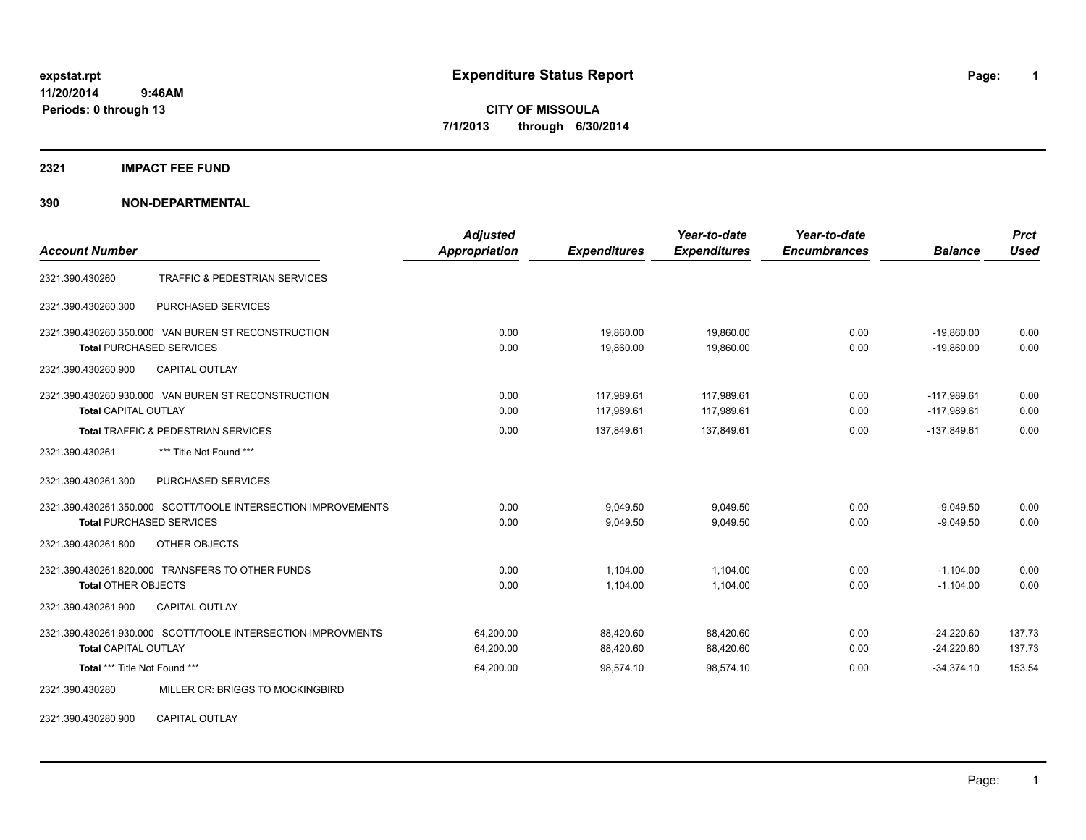**11/20/2014 9:46AM Periods: 0 through 13**

# **expstat.rpt Expenditure Status Report Page:**

**1**

**CITY OF MISSOULA 7/1/2013 through 6/30/2014**

# **2321 IMPACT FEE FUND**

## **390 NON-DEPARTMENTAL**

|                                                               | <b>Adjusted</b>      |                     | Year-to-date        | Year-to-date        |                | <b>Prct</b> |
|---------------------------------------------------------------|----------------------|---------------------|---------------------|---------------------|----------------|-------------|
| <b>Account Number</b>                                         | <b>Appropriation</b> | <b>Expenditures</b> | <b>Expenditures</b> | <b>Encumbrances</b> | <b>Balance</b> | Used        |
| <b>TRAFFIC &amp; PEDESTRIAN SERVICES</b><br>2321.390.430260   |                      |                     |                     |                     |                |             |
| 2321.390.430260.300<br>PURCHASED SERVICES                     |                      |                     |                     |                     |                |             |
| 2321.390.430260.350.000 VAN BUREN ST RECONSTRUCTION           | 0.00                 | 19,860.00           | 19,860.00           | 0.00                | $-19,860.00$   | 0.00        |
| <b>Total PURCHASED SERVICES</b>                               | 0.00                 | 19.860.00           | 19.860.00           | 0.00                | $-19.860.00$   | 0.00        |
| 2321.390.430260.900<br><b>CAPITAL OUTLAY</b>                  |                      |                     |                     |                     |                |             |
| 2321.390.430260.930.000 VAN BUREN ST RECONSTRUCTION           | 0.00                 | 117,989.61          | 117,989.61          | 0.00                | $-117,989.61$  | 0.00        |
| <b>Total CAPITAL OUTLAY</b>                                   | 0.00                 | 117,989.61          | 117,989.61          | 0.00                | $-117,989.61$  | 0.00        |
| Total TRAFFIC & PEDESTRIAN SERVICES                           | 0.00                 | 137,849.61          | 137,849.61          | 0.00                | $-137,849.61$  | 0.00        |
| 2321.390.430261<br>*** Title Not Found ***                    |                      |                     |                     |                     |                |             |
| PURCHASED SERVICES<br>2321.390.430261.300                     |                      |                     |                     |                     |                |             |
| 2321.390.430261.350.000 SCOTT/TOOLE INTERSECTION IMPROVEMENTS | 0.00                 | 9,049.50            | 9,049.50            | 0.00                | $-9,049.50$    | 0.00        |
| <b>Total PURCHASED SERVICES</b>                               | 0.00                 | 9,049.50            | 9,049.50            | 0.00                | $-9,049.50$    | 0.00        |
| 2321.390.430261.800<br>OTHER OBJECTS                          |                      |                     |                     |                     |                |             |
| 2321.390.430261.820.000 TRANSFERS TO OTHER FUNDS              | 0.00                 | 1,104.00            | 1,104.00            | 0.00                | $-1,104.00$    | 0.00        |
| <b>Total OTHER OBJECTS</b>                                    | 0.00                 | 1,104.00            | 1,104.00            | 0.00                | $-1,104.00$    | 0.00        |
| 2321.390.430261.900<br><b>CAPITAL OUTLAY</b>                  |                      |                     |                     |                     |                |             |
| 2321.390.430261.930.000 SCOTT/TOOLE INTERSECTION IMPROVMENTS  | 64.200.00            | 88,420.60           | 88,420.60           | 0.00                | $-24,220.60$   | 137.73      |
| <b>Total CAPITAL OUTLAY</b>                                   | 64,200.00            | 88,420.60           | 88,420.60           | 0.00                | $-24,220.60$   | 137.73      |
| Total *** Title Not Found ***                                 | 64,200.00            | 98,574.10           | 98,574.10           | 0.00                | $-34,374.10$   | 153.54      |
| 2321.390.430280<br>MILLER CR: BRIGGS TO MOCKINGBIRD           |                      |                     |                     |                     |                |             |
|                                                               |                      |                     |                     |                     |                |             |

2321.390.430280.900 CAPITAL OUTLAY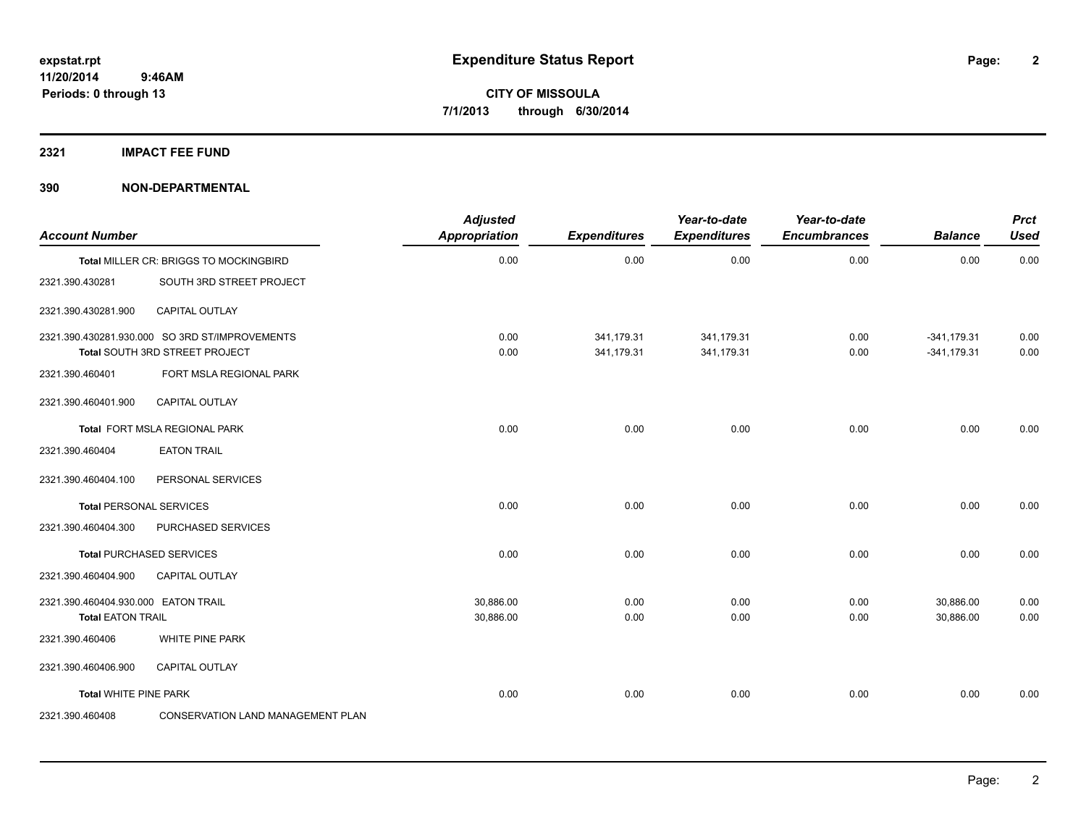**2**

**CITY OF MISSOULA 7/1/2013 through 6/30/2014**

**2321 IMPACT FEE FUND**

**390 NON-DEPARTMENTAL**

| <b>Account Number</b>                                           |                                                                                  | <b>Adjusted</b><br><b>Appropriation</b> | <b>Expenditures</b>      | Year-to-date<br><b>Expenditures</b> | Year-to-date<br><b>Encumbrances</b> | <b>Balance</b>                 | <b>Prct</b><br><b>Used</b> |
|-----------------------------------------------------------------|----------------------------------------------------------------------------------|-----------------------------------------|--------------------------|-------------------------------------|-------------------------------------|--------------------------------|----------------------------|
|                                                                 | Total MILLER CR: BRIGGS TO MOCKINGBIRD                                           | 0.00                                    | 0.00                     | 0.00                                | 0.00                                | 0.00                           | 0.00                       |
| 2321.390.430281                                                 | SOUTH 3RD STREET PROJECT                                                         |                                         |                          |                                     |                                     |                                |                            |
| 2321.390.430281.900                                             | <b>CAPITAL OUTLAY</b>                                                            |                                         |                          |                                     |                                     |                                |                            |
|                                                                 | 2321.390.430281.930.000 SO 3RD ST/IMPROVEMENTS<br>Total SOUTH 3RD STREET PROJECT | 0.00<br>0.00                            | 341,179.31<br>341,179.31 | 341,179.31<br>341,179.31            | 0.00<br>0.00                        | $-341,179.31$<br>$-341,179.31$ | 0.00<br>0.00               |
| 2321.390.460401                                                 | FORT MSLA REGIONAL PARK                                                          |                                         |                          |                                     |                                     |                                |                            |
| 2321.390.460401.900                                             | <b>CAPITAL OUTLAY</b>                                                            |                                         |                          |                                     |                                     |                                |                            |
|                                                                 | Total FORT MSLA REGIONAL PARK                                                    | 0.00                                    | 0.00                     | 0.00                                | 0.00                                | 0.00                           | 0.00                       |
| 2321.390.460404                                                 | <b>EATON TRAIL</b>                                                               |                                         |                          |                                     |                                     |                                |                            |
| 2321.390.460404.100                                             | PERSONAL SERVICES                                                                |                                         |                          |                                     |                                     |                                |                            |
|                                                                 | <b>Total PERSONAL SERVICES</b>                                                   | 0.00                                    | 0.00                     | 0.00                                | 0.00                                | 0.00                           | 0.00                       |
| 2321.390.460404.300                                             | PURCHASED SERVICES                                                               |                                         |                          |                                     |                                     |                                |                            |
|                                                                 | <b>Total PURCHASED SERVICES</b>                                                  | 0.00                                    | 0.00                     | 0.00                                | 0.00                                | 0.00                           | 0.00                       |
| 2321.390.460404.900                                             | <b>CAPITAL OUTLAY</b>                                                            |                                         |                          |                                     |                                     |                                |                            |
| 2321.390.460404.930.000 EATON TRAIL<br><b>Total EATON TRAIL</b> |                                                                                  | 30,886.00<br>30,886.00                  | 0.00<br>0.00             | 0.00<br>0.00                        | 0.00<br>0.00                        | 30,886.00<br>30.886.00         | 0.00<br>0.00               |
| 2321.390.460406                                                 | WHITE PINE PARK                                                                  |                                         |                          |                                     |                                     |                                |                            |
| 2321.390.460406.900                                             | CAPITAL OUTLAY                                                                   |                                         |                          |                                     |                                     |                                |                            |
| <b>Total WHITE PINE PARK</b>                                    |                                                                                  | 0.00                                    | 0.00                     | 0.00                                | 0.00                                | 0.00                           | 0.00                       |
| 2321.390.460408                                                 | <b>CONSERVATION LAND MANAGEMENT PLAN</b>                                         |                                         |                          |                                     |                                     |                                |                            |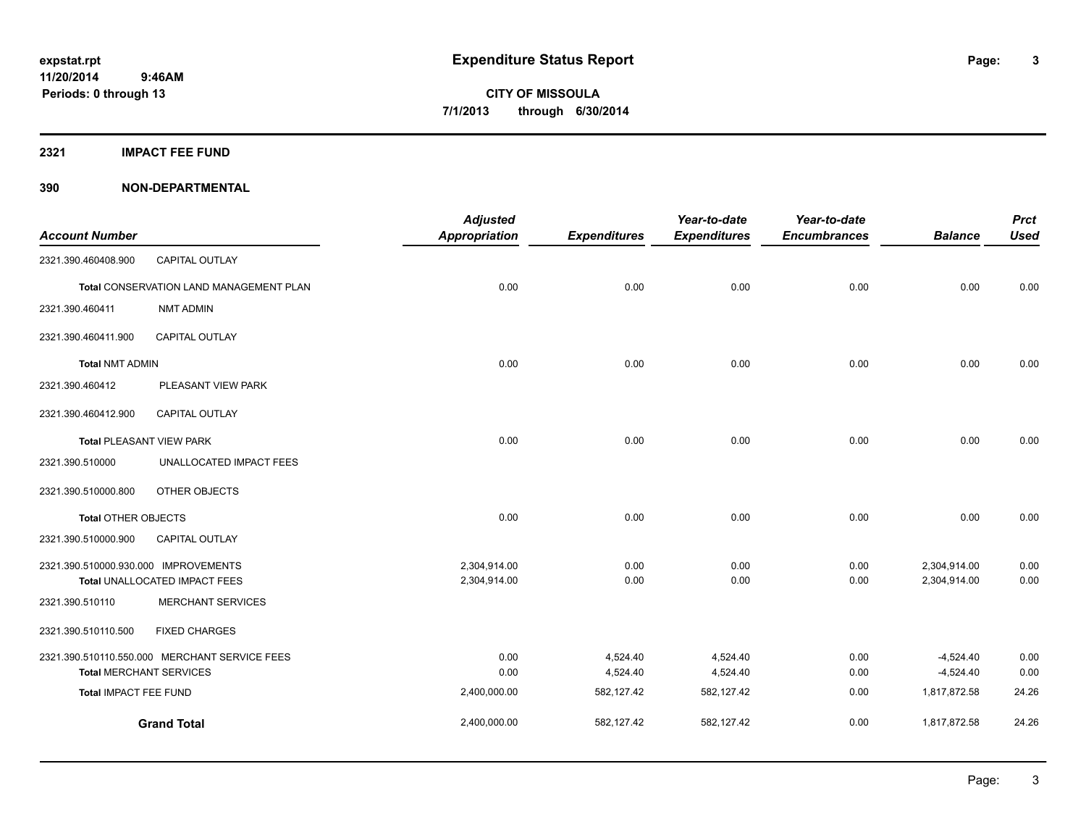**3**

**CITY OF MISSOULA 7/1/2013 through 6/30/2014**

**2321 IMPACT FEE FUND**

### **390 NON-DEPARTMENTAL**

|                                         |                                               | <b>Adjusted</b>      |                     | Year-to-date        | Year-to-date        |                | <b>Prct</b> |
|-----------------------------------------|-----------------------------------------------|----------------------|---------------------|---------------------|---------------------|----------------|-------------|
| <b>Account Number</b>                   |                                               | <b>Appropriation</b> | <b>Expenditures</b> | <b>Expenditures</b> | <b>Encumbrances</b> | <b>Balance</b> | <b>Used</b> |
| 2321.390.460408.900                     | CAPITAL OUTLAY                                |                      |                     |                     |                     |                |             |
| Total CONSERVATION LAND MANAGEMENT PLAN |                                               | 0.00                 | 0.00                | 0.00                | 0.00                | 0.00           | 0.00        |
| 2321.390.460411                         | <b>NMT ADMIN</b>                              |                      |                     |                     |                     |                |             |
| 2321.390.460411.900                     | <b>CAPITAL OUTLAY</b>                         |                      |                     |                     |                     |                |             |
| <b>Total NMT ADMIN</b>                  |                                               | 0.00                 | 0.00                | 0.00                | 0.00                | 0.00           | 0.00        |
| 2321.390.460412                         | PLEASANT VIEW PARK                            |                      |                     |                     |                     |                |             |
| 2321.390.460412.900                     | <b>CAPITAL OUTLAY</b>                         |                      |                     |                     |                     |                |             |
| <b>Total PLEASANT VIEW PARK</b>         |                                               | 0.00                 | 0.00                | 0.00                | 0.00                | 0.00           | 0.00        |
| 2321.390.510000                         | UNALLOCATED IMPACT FEES                       |                      |                     |                     |                     |                |             |
| 2321.390.510000.800                     | OTHER OBJECTS                                 |                      |                     |                     |                     |                |             |
| <b>Total OTHER OBJECTS</b>              |                                               | 0.00                 | 0.00                | 0.00                | 0.00                | 0.00           | 0.00        |
| 2321.390.510000.900                     | CAPITAL OUTLAY                                |                      |                     |                     |                     |                |             |
| 2321.390.510000.930.000 IMPROVEMENTS    |                                               | 2,304,914.00         | 0.00                | 0.00                | 0.00                | 2,304,914.00   | 0.00        |
|                                         | Total UNALLOCATED IMPACT FEES                 | 2,304,914.00         | 0.00                | 0.00                | 0.00                | 2,304,914.00   | 0.00        |
| 2321.390.510110                         | <b>MERCHANT SERVICES</b>                      |                      |                     |                     |                     |                |             |
| 2321.390.510110.500                     | <b>FIXED CHARGES</b>                          |                      |                     |                     |                     |                |             |
|                                         | 2321.390.510110.550.000 MERCHANT SERVICE FEES | 0.00                 | 4,524.40            | 4,524.40            | 0.00                | $-4,524.40$    | 0.00        |
| <b>Total MERCHANT SERVICES</b>          |                                               | 0.00                 | 4,524.40            | 4,524.40            | 0.00                | $-4,524.40$    | 0.00        |
| Total IMPACT FEE FUND                   |                                               | 2,400,000.00         | 582,127.42          | 582,127.42          | 0.00                | 1,817,872.58   | 24.26       |
|                                         | <b>Grand Total</b>                            | 2,400,000.00         | 582,127.42          | 582,127.42          | 0.00                | 1,817,872.58   | 24.26       |